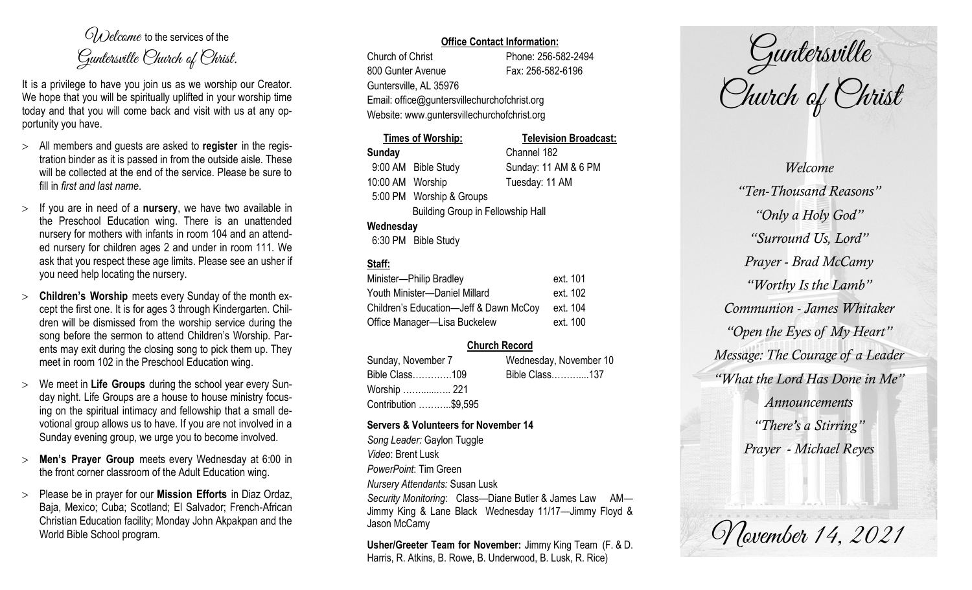$O(\lambda)$  elcame to the services of the Guntersville Church of Christ.

It is a privilege to have you join us as we worship our Creator. We hope that you will be spiritually uplifted in your worship time today and that you will come back and visit with us at any opportunity you have.

- All members and guests are asked to **register** in the registration binder as it is passed in from the outside aisle. These will be collected at the end of the service. Please be sure to fill in *first and last name*.
- $>$  If you are in need of a **nursery**, we have two available in the Preschool Education wing. There is an unattended nursery for mothers with infants in room 104 and an attended nursery for children ages 2 and under in room 111. We ask that you respect these age limits. Please see an usher if you need help locating the nursery.
- **Children's Worship** meets every Sunday of the month except the first one. It is for ages 3 through Kindergarten. Children will be dismissed from the worship service during the song before the sermon to attend Children's Worship. Parents may exit during the closing song to pick them up. They meet in room 102 in the Preschool Education wing.
- We meet in **Life Groups** during the school year every Sunday night. Life Groups are a house to house ministry focusing on the spiritual intimacy and fellowship that a small devotional group allows us to have. If you are not involved in a Sunday evening group, we urge you to become involved.
- **Men's Prayer Group** meets every Wednesday at 6:00 in the front corner classroom of the Adult Education wing.
- Please be in prayer for our **Mission Efforts** in Diaz Ordaz, Baja, Mexico; Cuba; Scotland; El Salvador; French-African Christian Education facility; Monday John Akpakpan and the World Bible School program.

### **Office Contact Information:**

Church of Christ Phone: 256-582-2494 800 Gunter Avenue Fax: 256-582-6196 Guntersville, AL 35976 Email: office@guntersvillechurchofchrist.org Website: www.guntersvillechurchofchrist.org

|                  | <b>Times of Worship:</b>                 | <b>Television Broadcast:</b> |
|------------------|------------------------------------------|------------------------------|
| <b>Sunday</b>    |                                          | Channel 182                  |
|                  | 9:00 AM Bible Study                      | Sunday: 11 AM & 6 PM         |
| 10:00 AM Worship |                                          | Tuesday: 11 AM               |
|                  | 5:00 PM Worship & Groups                 |                              |
|                  | <b>Building Group in Fellowship Hall</b> |                              |
| Wednesday        |                                          |                              |
|                  | 6:30 PM Bible Study                      |                              |

# **Staff:**

| Minister-Philip Bradley                | ext. 101 |
|----------------------------------------|----------|
| Youth Minister-Daniel Millard          | ext. 102 |
| Children's Education-Jeff & Dawn McCoy | ext. 104 |
| Office Manager-Lisa Buckelew           | ext. 100 |

## **Church Record**

Sunday, November 7 Wednesday, November 10 Bible Class………….109 Bible Class………....137 Worship ……......….. 221 Contribution ………..\$9,595

#### **Servers & Volunteers for November 14**

*Song Leader:* Gaylon Tuggle *Video*: Brent Lusk *PowerPoint*: Tim Green *Nursery Attendants:* Susan Lusk *Security Monitoring*: Class—Diane Butler & James Law AM— Jimmy King & Lane Black Wednesday 11/17—Jimmy Floyd & Jason McCamy

**Usher/Greeter Team for November:** Jimmy King Team (F. & D. Harris, R. Atkins, B. Rowe, B. Underwood, B. Lusk, R. Rice)

Guntersville Church of Christ

*Welcome "Ten-Thousand Reasons" "Only a Holy God" "Surround Us, Lord" Prayer - Brad McCamy "Worthy Is the Lamb" Communion - James Whitaker "Open the Eyes of My Heart" Message: The Courage of a Leader "What the Lord Has Done in Me" Announcements "There's a Stirring" Prayer - Michael Reyes*

*Movember 14, 2021*